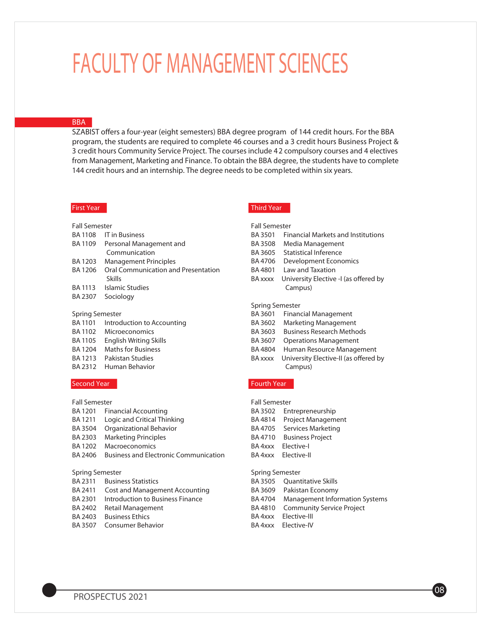# **FACULTY OF MANAGEMENT SCIENCES**

## **BBA**

SZABIST offers a four-year (eight semesters) BBA degree program of 144 credit hours. For the BBA program, the students are required to complete 46 courses and a 3 credit hours Business Project & 3 credit hours Community Service Project. The courses include 42 compulsory courses and 4 electives from Management, Marketing and Finance. To obtain the BBA degree, the students have to complete 144 credit hours and an internship. The degree needs to be completed within six years.

# **First Year**

### **Fall Semester** BA 1108 IT in Business BA 1109 Personal Management and Communication BA 1203 Management Principles BA 1206 Oral Communication and Presentation Skills

- BA 1113 Islamic Studies
- BA 2307 Sociology

#### **Spring Semester**

BA 1101 Introduction to Accounting BA 1102 Microeconomics BA 1105 English Writing Skills BA 1204 Maths for Business BA 1213 Pakistan Studies BA 2312 Human Behavior

### **Second Year**

# **Fall Semester**

BA 1201 Financial Accounting BA 1211 Logic and Critical Thinking BA 3504 Organizational Behavior BA 2303 Marketing Principles BA 1202 Macroeconomics BA 2406 Business and Electronic Communication

#### **Spring Semester**

- BA 2311 Business Statistics
- BA 2411 Cost and Management Accounting
- BA 2301 Introduction to Business Finance
- BA 2402 Retail Management
- BA 2403 Business Ethics
- BA 3507 Consumer Behavior

# **Third Year**

# **Fall Semester** BA 3501 Financial Markets and Institutions BA 3508 Media Management BA 3605 Statistical Inference BA 4706 Development Economics BA 4801 Law and Taxation BA xxxx University Elective -I (as offered by Campus) **Spring Semester** BA 3601 Financial Management BA 3602 Marketing Management

- BA 3603 Business Research Methods
- BA 3607 Operations Management
- BA 4804 Human Resource Management
- BA xxxx University Elective-II (as offered by Campus)

## **Fourth Year**

| <b>Fall Semester</b> |                           |  |
|----------------------|---------------------------|--|
| BA 3502              | Entrepreneurship          |  |
| BA4814               | <b>Project Management</b> |  |
| BA 4705              | Services Marketing        |  |
| BA 4710              | <b>Business Project</b>   |  |
| BA 4xxx              | Flective-I                |  |
| RA 4xxx              | Flective-II               |  |
|                      |                           |  |

# **Spring Semester**

| BA 3505 Ouantitative Skills             |
|-----------------------------------------|
| BA 3609 Pakistan Economy                |
| BA 4704 Management Information Systems  |
| <b>BA4810</b> Community Service Project |
| BA 4xxx Elective-III                    |
| BA 4xxx Elective-IV                     |